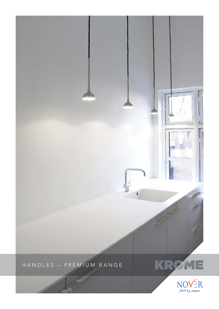HANDLES - PREMIUM RANGE



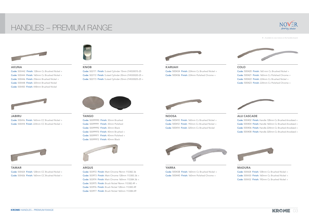

 $\blacklozenge$  – Available to view instore on the handles board.



# Handles – Premium Range





#### Akuna

Code: 500442 Finish: 128mm Cc Brushed Nickel Code: 500444 Finish: 160mm Cc Brushed Nickel Code: 500446 Finish: 256mm Brushed Nickel Code: 500448 Finish: 320mm Brushed Nickel Code: 500450 Finish: 448mm Brushed Nickel

TAMAR Code: 500424 Finish: 128mm CC Brushed Nickel Code: 500426 Finish: 160mm CC Brushed Nickel





#### **KNOB**

# **TANGO**

Code: 502171 Finish: S.steel Cylinder 15mm 214530015-25 Code: 502172 Finish: S.steel Cylinder 20mm 214530020-25 u Code: 502173 Finish: S.steel Cylinder 25mm 214530025-25 u



KARUAH Code: 500434 Finish: 224mm Cc Brushed Nickel Code: 500436 Finish: 224mm Polished Chrome



#### **JABIRU**

Code: 500416 Finish: 160mm CC Brushed Nickel Code: 500418 Finish: 224mm CC Brushed Nickel



Code: 50099990 Finish: 30mm Brushed Code: 50099991 Finish: 30mm Polished Code: 50099992 Finish: 30mm Black Code: 50099970 Finish: 40mm Brushed Code: 50099971 Finish: 40mm Polished + Code: 50099972 Finish: 40mm Black



Code: 500410 Finish: 160mm Cc Brushed Nickel + Code: 500412 Finish: 192mm Cc Brushed Nickel Code: 500414 Finish: 320mm Cc Brushed Nickel



#### ArQus

Yarra Code: 500438 Finish: 160mm Cc Brushed Nickel Code: 500440 Finish: 160mm Polished Chrome

Code: 503972 Finish: Matt Chrome 96mm 113382.36 Code: 503973 Finish: Matt Chrome 128mm 113383.36 u Code: 503974 Finish: Matt Chrome 160mm 113384.36 u Code: 503975 Finish: Brush Nickel 96mm 113382.49 u Code: 503976 Finish: Brush Nickel 128mm 113383.49 Code: 503977 Finish: Brush Nickel 160mm 113384.49



## Colo

| Code: 500420 Finish: 160 mm Cc Brushed Nickel + |
|-------------------------------------------------|
| Code: 500421 Finish: 160mm Cc Polished Chrome   |
| Code: 500422 Finish: 224mm Cc Brushed Nickel    |
| Code: 500423 Finish: 224mm Cc Polished Chrome   |

# Noosa

### ALU CASCADE

| Code: 500402 Finish: Handle 128mm Cc Brushed Anodized . |
|---------------------------------------------------------|
| Code: 500404 Finish: Handle 160mm Cc Brushed Anodized   |
| Code: 500406 Finish: Handle 224mm Cc Brushed Anodized   |
| Code: 500408 Finish: Handle 320mm Cc Brushed Anodized   |



### **MADURA**

| Code: 500428 Finish: 128mm Cc Brushed Nickel + |
|------------------------------------------------|
| Code: 500430 Finish: 160mm Cc Brushed Nickel + |
| Code: 500432 Finish: 192mm Cc Brushed Nickel + |